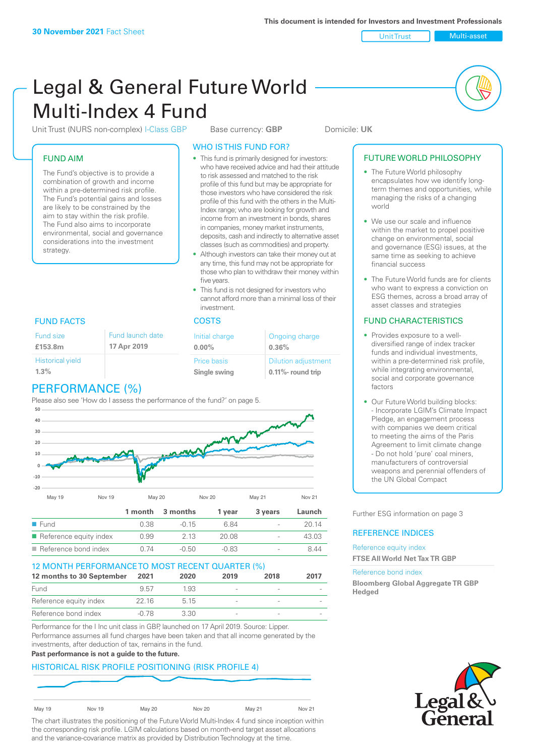Unit Trust Nulti-asset

# Legal & General Future World Multi-Index 4 Fund

Unit Trust (NURS non-complex) I-Class GBP Base currency: **GBP** Domicile: UK

#### FUND AIM

The Fund's objective is to provide a combination of growth and income within a pre-determined risk profile. The Fund's potential gains and losses are likely to be constrained by the aim to stay within the risk profile. The Fund also aims to incorporate environmental, social and governance considerations into the investment strategy.

#### WHO IS THIS FUND FOR?

- This fund is primarily designed for investors: who have received advice and had their attitude to risk assessed and matched to the risk profile of this fund but may be appropriate for those investors who have considered the risk profile of this fund with the others in the Multi-Index range; who are looking for growth and income from an investment in bonds, shares in companies, money market instruments, deposits, cash and indirectly to alternative asset classes (such as commodities) and property.
- Although investors can take their money out at any time, this fund may not be appropriate for those who plan to withdraw their money within five years.
- This fund is not designed for investors who cannot afford more than a minimal loss of their investment.

| Fund launch date | Initial charge              | Ongoing charge                                      |  |
|------------------|-----------------------------|-----------------------------------------------------|--|
| 17 Apr 2019      | $0.00\%$                    | 0.36%                                               |  |
|                  | Price basis<br>Single swing | <b>Dilution adjustment</b><br>$0.11\%$ - round trip |  |

### FUND FACTS COSTS

Fund size **£153.8m**

| ------                  | $\cdots$ | $\mathbf{u}$ . |
|-------------------------|----------|----------------|
| <b>Historical yield</b> |          |                |
| 1.3%                    |          | Si             |
|                         |          |                |

# PERFORMANCE (%)

Please also see 'How do I assess the performance of the fund?' on page 5.



#### 12 MONTH PERFORMANCE TO MOST RECENT QUARTER (%)

| 12 months to 30 September | 2021  | 2020  | 2019 | 2018 | 2017 |
|---------------------------|-------|-------|------|------|------|
| Fund                      | 957   | 1.93  |      |      |      |
| Reference equity index    | 22.16 | 5 1 5 |      |      |      |
| Reference bond index      | -0.78 | 3.30  |      |      |      |

Performance for the I Inc unit class in GBP, launched on 17 April 2019. Source: Lipper. Performance assumes all fund charges have been taken and that all income generated by the investments, after deduction of tax, remains in the fund.

#### **Past performance is not a guide to the future.**

#### HISTORICAL RISK PROFILE POSITIONING (RISK PROFILE 4)

| May 19 | Nov 19 | <b>May 20</b> | Nov 20 | May 21 | Nov 21 |  |
|--------|--------|---------------|--------|--------|--------|--|

The chart illustrates the positioning of the Future World Multi-Index 4 fund since inception within the corresponding risk profile. LGIM calculations based on month-end target asset allocations and the variance-covariance matrix as provided by Distribution Technology at the time.

#### FUTURE WORLD PHILOSOPHY

- The Future World philosophy encapsulates how we identify longterm themes and opportunities, while managing the risks of a changing world
- We use our scale and influence within the market to propel positive change on environmental, social and governance (ESG) issues, at the same time as seeking to achieve financial success
- The Future World funds are for clients who want to express a conviction on ESG themes, across a broad array of asset classes and strategies

#### FUND CHARACTERISTICS

- Provides exposure to a welldiversified range of index tracker funds and individual investments, within a pre-determined risk profile while integrating environmental, social and corporate governance factors
- Our Future World building blocks: - Incorporate LGIM's Climate Impact Pledge, an engagement process with companies we deem critical to meeting the aims of the Paris Agreement to limit climate change - Do not hold 'pure' coal miners, manufacturers of controversial weapons and perennial offenders of the UN Global Compact

Further ESG information on page 3

#### REFERENCE INDICES

#### Reference equity index **FTSE All World Net Tax TR GBP**

#### Reference bond index

**Bloomberg Global Aggregate TR GBP Hedged**

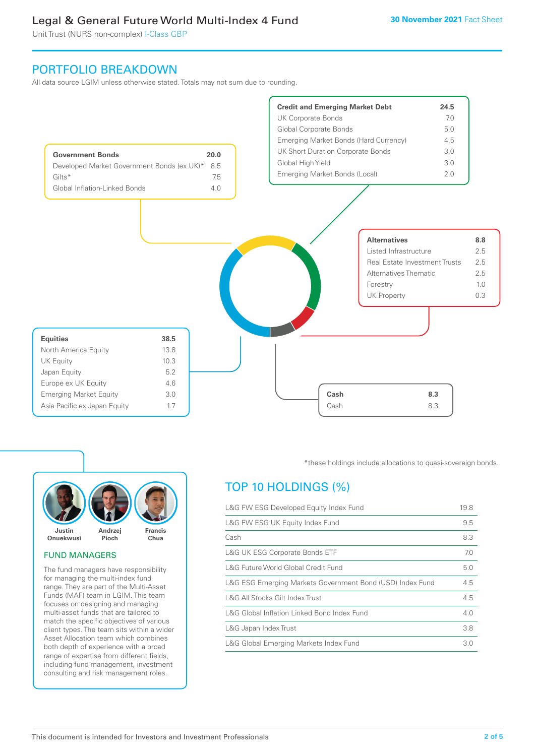Unit Trust (NURS non-complex) I-Class GBP

## PORTFOLIO BREAKDOWN

All data source LGIM unless otherwise stated. Totals may not sum due to rounding.





#### FUND MANAGERS

The fund managers have responsibility for managing the multi-index fund range. They are part of the Multi-Asset Funds (MAF) team in LGIM. This team focuses on designing and managing multi-asset funds that are tailored to match the specific objectives of various client types. The team sits within a wider Asset Allocation team which combines both depth of experience with a broad range of expertise from different fields, including fund management, investment consulting and risk management roles.

\*these holdings include allocations to quasi-sovereign bonds.

# TOP 10 HOLDINGS (%)

| L&G FW ESG Developed Equity Index Fund                    | 19.8 |
|-----------------------------------------------------------|------|
| L&G FW ESG UK Equity Index Fund                           | 9.5  |
| Cash                                                      | 8.3  |
| <b>L&amp;G UK ESG Corporate Bonds ETF</b>                 | 7.0  |
| L&G Future World Global Credit Fund                       | 5.0  |
| L&G ESG Emerging Markets Government Bond (USD) Index Fund | 4.5  |
| L&G All Stocks Gilt Index Trust                           | 4.5  |
| L&G Global Inflation Linked Bond Index Fund               | 4.0  |
| L&G Japan Index Trust                                     | 3.8  |
| L&G Global Emerging Markets Index Fund                    | 3.0  |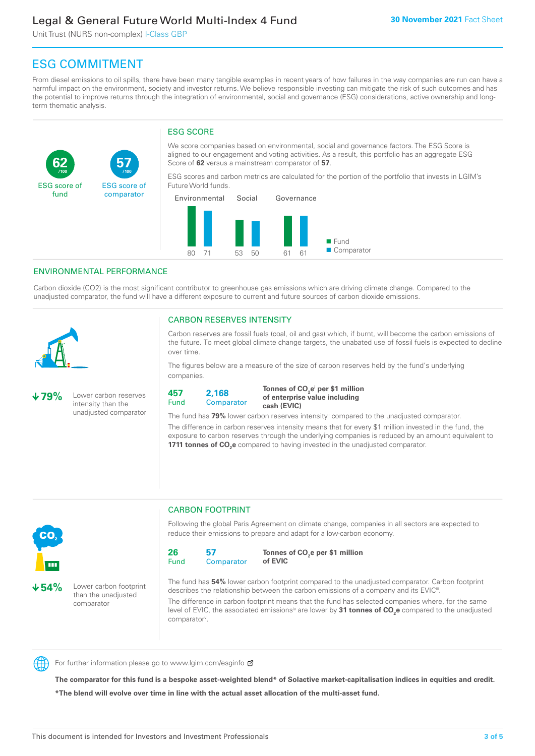Unit Trust (NURS non-complex) I-Class GBP

**57**

ESG score of comparator

# ESG COMMITMENT

From diesel emissions to oil spills, there have been many tangible examples in recent years of how failures in the way companies are run can have a harmful impact on the environment, society and investor returns. We believe responsible investing can mitigate the risk of such outcomes and has the potential to improve returns through the integration of environmental, social and governance (ESG) considerations, active ownership and longterm thematic analysis.

#### ESG SCORE

We score companies based on environmental, social and governance factors. The ESG Score is aligned to our engagement and voting activities. As a result, this portfolio has an aggregate ESG Score of **62** versus a mainstream comparator of **57**.

ESG scores and carbon metrics are calculated for the portion of the portfolio that invests in LGIM's Future World funds.



#### ENVIRONMENTAL PERFORMANCE

**/100 /100**

Carbon dioxide (CO2) is the most significant contributor to greenhouse gas emissions which are driving climate change. Compared to the unadjusted comparator, the fund will have a different exposure to current and future sources of carbon dioxide emissions.



**62**

ESG score of fund

#### CARBON RESERVES INTENSITY

Carbon reserves are fossil fuels (coal, oil and gas) which, if burnt, will become the carbon emissions of the future. To meet global climate change targets, the unabated use of fossil fuels is expected to decline over time.

The figures below are a measure of the size of carbon reserves held by the fund's underlying companies.

**79%** Lower carbon reserves intensity than the unadjusted comparator



Tonnes of CO<sub>2</sub>e<sup>i</sup> per \$1 million **of enterprise value including cash (EVIC)**

The fund has 79% lower carbon reserves intensity<sup>ii</sup> compared to the unadjusted comparator.

The difference in carbon reserves intensity means that for every \$1 million invested in the fund, the exposure to carbon reserves through the underlying companies is reduced by an amount equivalent to **1711 tonnes of CO<sub>2</sub>e** compared to having invested in the unadjusted comparator.



**54%** Lower carbon footprint than the unadjusted

comparator

CARBON FOOTPRINT

Following the global Paris Agreement on climate change, companies in all sectors are expected to reduce their emissions to prepare and adapt for a low-carbon economy.

**26** Fund **57 Comparator** 

**Tonnes of CO2 e per \$1 million of EVIC**

The fund has **54%** lower carbon footprint compared to the unadjusted comparator. Carbon footprint describes the relationship between the carbon emissions of a company and its EVIC<sup>ii</sup>.

The difference in carbon footprint means that the fund has selected companies where, for the same level of EVIC, the associated emissions<sup>iv</sup> are lower by **31 tonnes of CO<sub>2</sub>e** compared to the unadjusted comparator<sup>v</sup>.



For further information please go to www.lgim.com/esginfo Ø

**The comparator for this fund is a bespoke asset-weighted blend\* of Solactive market-capitalisation indices in equities and credit. \*The blend will evolve over time in line with the actual asset allocation of the multi-asset fund.**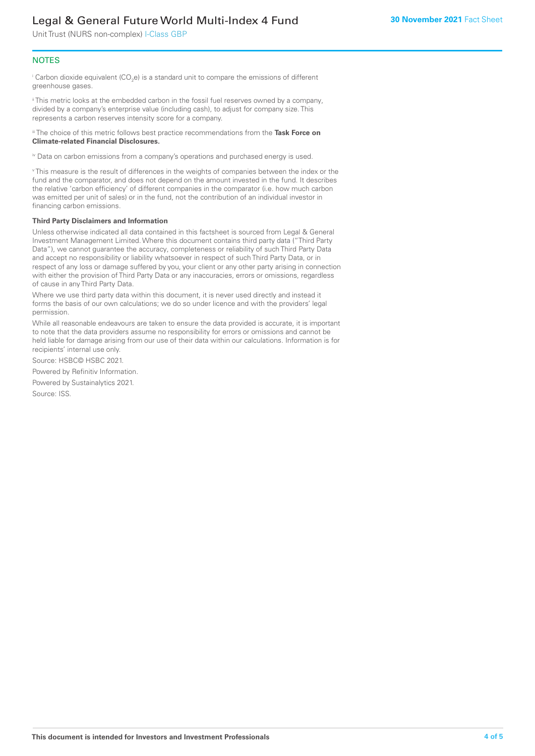Unit Trust (NURS non-complex) I-Class GBP

#### **NOTES**

 $^\mathrm{i}$  Carbon dioxide equivalent (CO<sub>2</sub>e) is a standard unit to compare the emissions of different greenhouse gases.

ii This metric looks at the embedded carbon in the fossil fuel reserves owned by a company, divided by a company's enterprise value (including cash), to adjust for company size. This represents a carbon reserves intensity score for a company.

iii The choice of this metric follows best practice recommendations from the **Task Force on Climate-related Financial Disclosures.**

iv Data on carbon emissions from a company's operations and purchased energy is used.

v This measure is the result of differences in the weights of companies between the index or the fund and the comparator, and does not depend on the amount invested in the fund. It describes the relative 'carbon efficiency' of different companies in the comparator (i.e. how much carbon was emitted per unit of sales) or in the fund, not the contribution of an individual investor in financing carbon emissions.

#### **Third Party Disclaimers and Information**

Unless otherwise indicated all data contained in this factsheet is sourced from Legal & General Investment Management Limited. Where this document contains third party data ("Third Party Data"), we cannot guarantee the accuracy, completeness or reliability of such Third Party Data and accept no responsibility or liability whatsoever in respect of such Third Party Data, or in respect of any loss or damage suffered by you, your client or any other party arising in connection with either the provision of Third Party Data or any inaccuracies, errors or omissions, regardless of cause in any Third Party Data.

Where we use third party data within this document, it is never used directly and instead it forms the basis of our own calculations; we do so under licence and with the providers' legal permission.

While all reasonable endeavours are taken to ensure the data provided is accurate, it is important to note that the data providers assume no responsibility for errors or omissions and cannot be held liable for damage arising from our use of their data within our calculations. Information is for recipients' internal use only.

Source: HSBC© HSBC 2021.

Powered by Refinitiv Information.

Powered by Sustainalytics 2021.

Source: ISS.